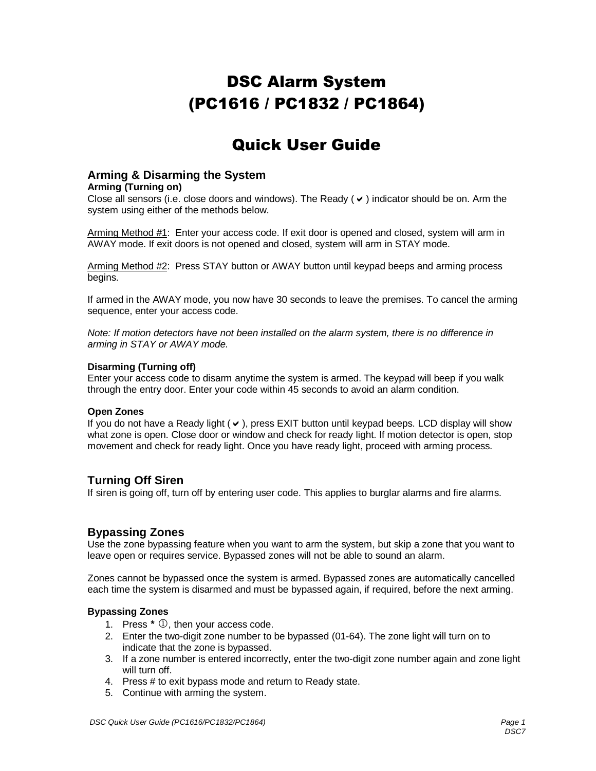# DSC Alarm System (PC1616 / PC1832 / PC1864)

## Quick User Guide

## **Arming & Disarming the System**

#### **Arming (Turning on)**

Close all sensors (i.e. close doors and windows). The Ready ( $\vee$ ) indicator should be on. Arm the system using either of the methods below.

Arming Method #1: Enter your access code. If exit door is opened and closed, system will arm in AWAY mode. If exit doors is not opened and closed, system will arm in STAY mode.

Arming Method #2: Press STAY button or AWAY button until keypad beeps and arming process begins.

If armed in the AWAY mode, you now have 30 seconds to leave the premises. To cancel the arming sequence, enter your access code.

Note: If motion detectors have not been installed on the alarm system, there is no difference in arming in STAY or AWAY mode.

#### **Disarming (Turning off)**

Enter your access code to disarm anytime the system is armed. The keypad will beep if you walk through the entry door. Enter your code within 45 seconds to avoid an alarm condition.

#### **Open Zones**

If you do not have a Ready light  $(v)$ , press EXIT button until keypad beeps. LCD display will show what zone is open. Close door or window and check for ready light. If motion detector is open, stop movement and check for ready light. Once you have ready light, proceed with arming process.

## **Turning Off Siren**

If siren is going off, turn off by entering user code. This applies to burglar alarms and fire alarms.

## **Bypassing Zones**

Use the zone bypassing feature when you want to arm the system, but skip a zone that you want to leave open or requires service. Bypassed zones will not be able to sound an alarm.

Zones cannot be bypassed once the system is armed. Bypassed zones are automatically cancelled each time the system is disarmed and must be bypassed again, if required, before the next arming.

#### **Bypassing Zones**

- 1. Press  $*$   $\mathbb{O}$ , then your access code.
- 2. Enter the two-digit zone number to be bypassed (01-64). The zone light will turn on to indicate that the zone is bypassed.
- 3. If a zone number is entered incorrectly, enter the two-digit zone number again and zone light will turn off.
- 4. Press # to exit bypass mode and return to Ready state.
- 5. Continue with arming the system.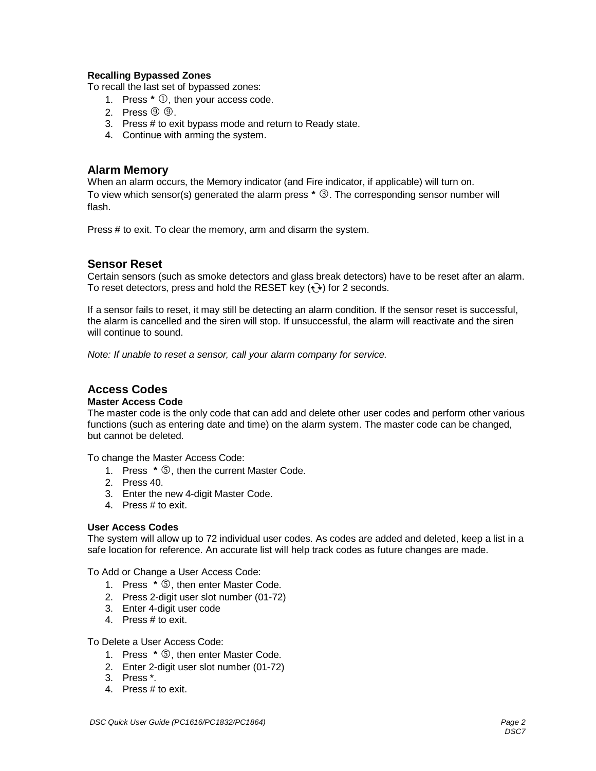#### **Recalling Bypassed Zones**

To recall the last set of bypassed zones:

- 1. Press  $*$   $\mathbb{O}$ , then your access code.
- 2. Press  $\circled{9}$   $\circled{9}$ .
- 3. Press # to exit bypass mode and return to Ready state.
- 4. Continue with arming the system.

#### **Alarm Memory**

When an alarm occurs, the Memory indicator (and Fire indicator, if applicable) will turn on. To view which sensor(s) generated the alarm press  $* \mathcal{D}$ . The corresponding sensor number will flash.

Press # to exit. To clear the memory, arm and disarm the system.

## **Sensor Reset**

Certain sensors (such as smoke detectors and glass break detectors) have to be reset after an alarm. To reset detectors, press and hold the RESET key  $(\rightarrow)$  for 2 seconds.

If a sensor fails to reset, it may still be detecting an alarm condition. If the sensor reset is successful, the alarm is cancelled and the siren will stop. If unsuccessful, the alarm will reactivate and the siren will continue to sound.

Note: If unable to reset a sensor, call your alarm company for service.

## **Access Codes**

#### **Master Access Code**

The master code is the only code that can add and delete other user codes and perform other various functions (such as entering date and time) on the alarm system. The master code can be changed, but cannot be deleted.

To change the Master Access Code:

- 1. Press \* 5, then the current Master Code.
- 2. Press 40.
- 3. Enter the new 4-digit Master Code.
- 4. Press # to exit.

#### **User Access Codes**

The system will allow up to 72 individual user codes. As codes are added and deleted, keep a list in a safe location for reference. An accurate list will help track codes as future changes are made.

To Add or Change a User Access Code:

- 1. Press \* **5**, then enter Master Code.
- 2. Press 2-digit user slot number (01-72)
- 3. Enter 4-digit user code
- 4. Press # to exit.

#### To Delete a User Access Code:

- 1. Press \* **5**, then enter Master Code.
- 2. Enter 2-digit user slot number (01-72)
- 3. Press \*.
- 4. Press # to exit.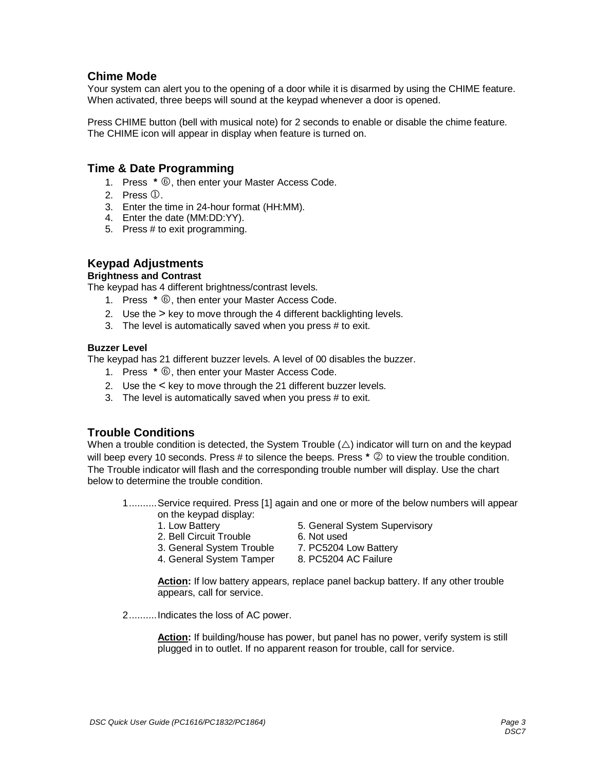## **Chime Mode**

Your system can alert you to the opening of a door while it is disarmed by using the CHIME feature. When activated, three beeps will sound at the keypad whenever a door is opened.

Press CHIME button (bell with musical note) for 2 seconds to enable or disable the chime feature. The CHIME icon will appear in display when feature is turned on.

### **Time & Date Programming**

- 1. Press \*  $\circled{0}$ , then enter your Master Access Code.
- 2. Press  $(D)$ .
- 3. Enter the time in 24-hour format (HH:MM).
- 4. Enter the date (MM:DD:YY).
- 5. Press # to exit programming.

## **Keypad Adjustments**

#### **Brightness and Contrast**

The keypad has 4 different brightness/contrast levels.

- 1. Press \*  $\circled{0}$ , then enter your Master Access Code.
- 2. Use the > key to move through the 4 different backlighting levels.
- 3. The level is automatically saved when you press # to exit.

#### **Buzzer Level**

The keypad has 21 different buzzer levels. A level of 00 disables the buzzer.

- 1. Press  $*$   $\circled{0}$ , then enter your Master Access Code.
- 2. Use the < key to move through the 21 different buzzer levels.
- 3. The level is automatically saved when you press # to exit.

## **Trouble Conditions**

When a trouble condition is detected, the System Trouble  $(\triangle)$  indicator will turn on and the keypad will beep every 10 seconds. Press # to silence the beeps. Press  $* \oslash$  to view the trouble condition. The Trouble indicator will flash and the corresponding trouble number will display. Use the chart below to determine the trouble condition.

 1..........Service required. Press [1] again and one or more of the below numbers will appear on the keypad display:

- 1. Low Battery **5. General System Supervisory**
- 2. Bell Circuit Trouble 6. Not used
	-
- 3. General System Trouble 7. PC5204 Low Battery
- 4. General System Tamper 8. PC5204 AC Failure

 **Action:** If low battery appears, replace panel backup battery. If any other trouble appears, call for service.

2..........Indicates the loss of AC power.

 **Action:** If building/house has power, but panel has no power, verify system is still plugged in to outlet. If no apparent reason for trouble, call for service.